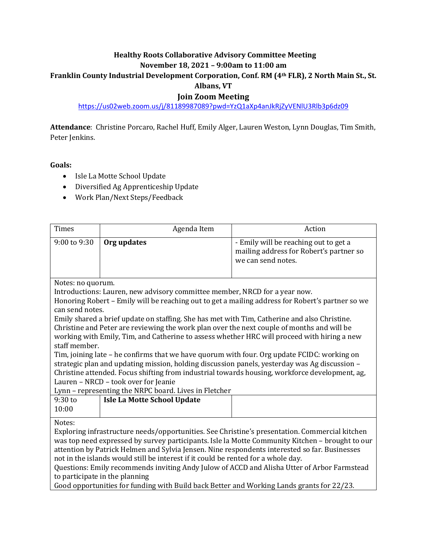# **Healthy Roots Collaborative Advisory Committee Meeting**

#### **November 18, 2021 – 9:00am to 11:00 am**

## **Franklin County Industrial Development Corporation, Conf. RM (4th FLR), 2 North Main St., St.**

#### **Albans, VT**

### **Join Zoom Meeting**

<https://us02web.zoom.us/j/81189987089?pwd=YzQ1aXp4anJkRjZyVENlU3Rlb3p6dz09>

**Attendance**: Christine Porcaro, Rachel Huff, Emily Alger, Lauren Weston, Lynn Douglas, Tim Smith, Peter Jenkins.

#### **Goals:**

- Isle La Motte School Update
- Diversified Ag Apprenticeship Update
- Work Plan/Next Steps/Feedback

| <b>Times</b>                                                                                                                                                                                                                                                                                                                                                                                                                                                                                                                                                                                                                                                                                                                                                                                                                                                                   | Agenda Item                                                                                 | Action                                                                                                 |  |  |
|--------------------------------------------------------------------------------------------------------------------------------------------------------------------------------------------------------------------------------------------------------------------------------------------------------------------------------------------------------------------------------------------------------------------------------------------------------------------------------------------------------------------------------------------------------------------------------------------------------------------------------------------------------------------------------------------------------------------------------------------------------------------------------------------------------------------------------------------------------------------------------|---------------------------------------------------------------------------------------------|--------------------------------------------------------------------------------------------------------|--|--|
| 9:00 to 9:30                                                                                                                                                                                                                                                                                                                                                                                                                                                                                                                                                                                                                                                                                                                                                                                                                                                                   | Org updates                                                                                 | - Emily will be reaching out to get a<br>mailing address for Robert's partner so<br>we can send notes. |  |  |
| Notes: no quorum.<br>Introductions: Lauren, new advisory committee member, NRCD for a year now.<br>Honoring Robert - Emily will be reaching out to get a mailing address for Robert's partner so we<br>can send notes.<br>Emily shared a brief update on staffing. She has met with Tim, Catherine and also Christine.<br>Christine and Peter are reviewing the work plan over the next couple of months and will be<br>working with Emily, Tim, and Catherine to assess whether HRC will proceed with hiring a new<br>staff member.<br>Tim, joining late - he confirms that we have quorum with four. Org update FCIDC: working on<br>strategic plan and updating mission, holding discussion panels, yesterday was Ag discussion -<br>Christine attended. Focus shifting from industrial towards housing, workforce development, ag,<br>Lauren - NRCD - took over for Jeanie |                                                                                             |                                                                                                        |  |  |
| $9:30$ to                                                                                                                                                                                                                                                                                                                                                                                                                                                                                                                                                                                                                                                                                                                                                                                                                                                                      | Lynn - representing the NRPC board. Lives in Fletcher<br><b>Isle La Motte School Update</b> |                                                                                                        |  |  |
| 10:00                                                                                                                                                                                                                                                                                                                                                                                                                                                                                                                                                                                                                                                                                                                                                                                                                                                                          |                                                                                             |                                                                                                        |  |  |
| Notes:<br>Exploring infrastructure needs/opportunities. See Christine's presentation. Commercial kitchen<br>was top need expressed by survey participants. Isle la Motte Community Kitchen - brought to our<br>attention by Patrick Helmen and Sylvia Jensen. Nine respondents interested so far. Businesses<br>not in the islands would still be interest if it could be rented for a whole day.<br>Questions: Emily recommends inviting Andy Julow of ACCD and Alisha Utter of Arbor Farmstead<br>to participate in the planning<br>Good opportunities for funding with Build back Better and Working Lands grants for 22/23.                                                                                                                                                                                                                                                |                                                                                             |                                                                                                        |  |  |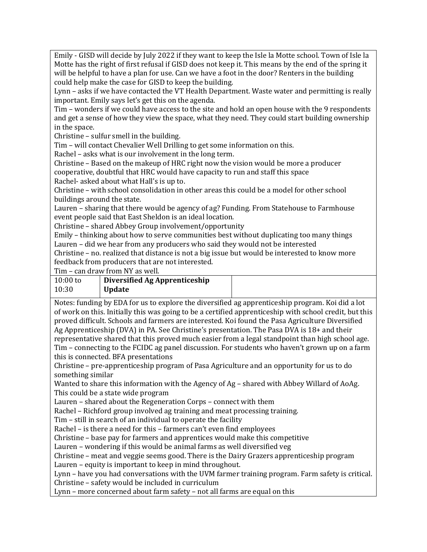Emily - GISD will decide by July 2022 if they want to keep the Isle la Motte school. Town of Isle la Motte has the right of first refusal if GISD does not keep it. This means by the end of the spring it will be helpful to have a plan for use. Can we have a foot in the door? Renters in the building could help make the case for GISD to keep the building.

Lynn – asks if we have contacted the VT Health Department. Waste water and permitting is really important. Emily says let's get this on the agenda.

Tim – wonders if we could have access to the site and hold an open house with the 9 respondents and get a sense of how they view the space, what they need. They could start building ownership in the space.

Christine – sulfur smell in the building.

Tim – will contact Chevalier Well Drilling to get some information on this.

Rachel – asks what is our involvement in the long term.

Christine – Based on the makeup of HRC right now the vision would be more a producer cooperative, doubtful that HRC would have capacity to run and staff this space Rachel- asked about what Hall's is up to.

Christine – with school consolidation in other areas this could be a model for other school buildings around the state.

Lauren – sharing that there would be agency of ag? Funding. From Statehouse to Farmhouse event people said that East Sheldon is an ideal location.

Christine – shared Abbey Group involvement/opportunity

Emily – thinking about how to serve communities best without duplicating too many things Lauren – did we hear from any producers who said they would not be interested

Christine – no. realized that distance is not a big issue but would be interested to know more feedback from producers that are not interested.

Tim – can draw from NY as well.

| $10:00$ to | Diversified Ag Apprenticeship |  |
|------------|-------------------------------|--|
| 10:30      | <b>Update</b>                 |  |

Notes: funding by EDA for us to explore the diversified ag apprenticeship program. Koi did a lot of work on this. Initially this was going to be a certified apprenticeship with school credit, but this proved difficult. Schools and farmers are interested. Koi found the Pasa Agriculture Diversified Ag Apprenticeship (DVA) in PA. See Christine's presentation. The Pasa DVA is 18+ and their representative shared that this proved much easier from a legal standpoint than high school age. Tim – connecting to the FCIDC ag panel discussion. For students who haven't grown up on a farm this is connected. BFA presentations

Christine – pre-apprenticeship program of Pasa Agriculture and an opportunity for us to do something similar

Wanted to share this information with the Agency of Ag – shared with Abbey Willard of AoAg. This could be a state wide program

Lauren – shared about the Regeneration Corps – connect with them

Rachel – Richford group involved ag training and meat processing training.

Tim – still in search of an individual to operate the facility

Rachel – is there a need for this – farmers can't even find employees

Christine – base pay for farmers and apprentices would make this competitive

Lauren – wondering if this would be animal farms as well diversified veg

Christine – meat and veggie seems good. There is the Dairy Grazers apprenticeship program Lauren – equity is important to keep in mind throughout.

Lynn – have you had conversations with the UVM farmer training program. Farm safety is critical. Christine – safety would be included in curriculum

Lynn – more concerned about farm safety – not all farms are equal on this